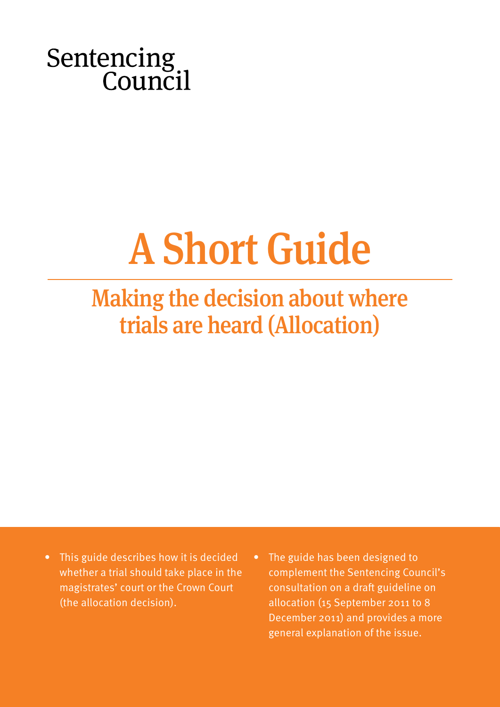Sentencing<br>Council

# A Short Guide

## Making the decision about where trials are heard (Allocation)

- This guide describes how it is decided whether a trial should take place in the magistrates' court or the Crown Court (the allocation decision).
- The guide has been designed to complement the Sentencing Council's consultation on a draft guideline on allocation (15 September 2011 to 8 December 2011) and provides a more general explanation of the issue.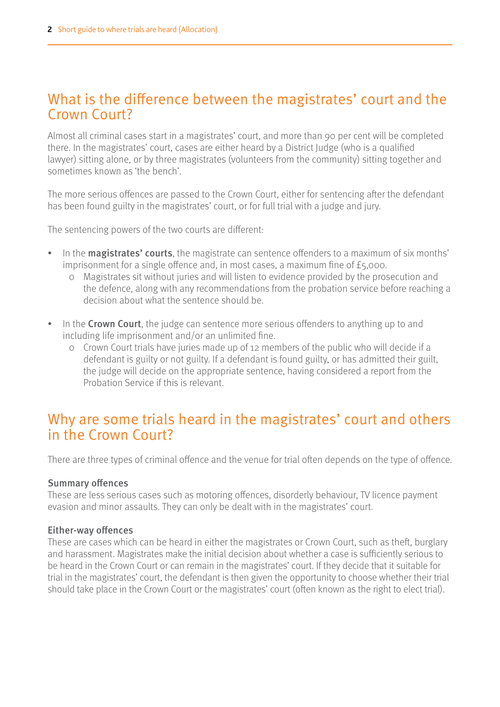## What is the difference between the magistrates' court and the Crown Court?

Almost all criminal cases start in a magistrates' court, and more than 90 per cent will be completed there. In the magistrates' court, cases are either heard by a District Judge (who is a qualified lawyer) sitting alone, or by three magistrates (volunteers from the community) sitting together and sometimes known as 'the bench'.

The more serious offences are passed to the Crown Court, either for sentencing after the defendant has been found guilty in the magistrates' court, or for full trial with a judge and jury.

The sentencing powers of the two courts are different:

- In the **magistrates' courts**, the magistrate can sentence offenders to a maximum of six months' imprisonment for a single offence and, in most cases, a maximum fine of £5,000.
	- 0 Magistrates sit without juries and will listen to evidence provided by the prosecution and the defence, along with any recommendations from the probation service before reaching a decision about what the sentence should be.
- In the Crown Court, the judge can sentence more serious offenders to anything up to and including life imprisonment and/or an unlimited fine.
	- 0 Crown Court trials have juries made up of 12 members of the public who will decide if a defendant is guilty or not guilty. If a defendant is found guilty, or has admitted their guilt, the judge will decide on the appropriate sentence, having considered a report from the Probation Service if this is relevant.

## Why are some trials heard in the magistrates' court and others in the Crown Court?

There are three types of criminal offence and the venue for trial often depends on the type of offence.

#### Summary offences

These are less serious cases such as motoring offences, disorderly behaviour, TV licence payment evasion and minor assaults. They can only be dealt with in the magistrates' court.

#### Either-way offences

These are cases which can be heard in either the magistrates or Crown Court, such as theft, burglary and harassment. Magistrates make the initial decision about whether a case is sufficiently serious to be heard in the Crown Court or can remain in the magistrates' court. If they decide that it suitable for trial in the magistrates' court, the defendant is then given the opportunity to choose whether their trial should take place in the Crown Court or the magistrates' court (often known as the right to elect trial).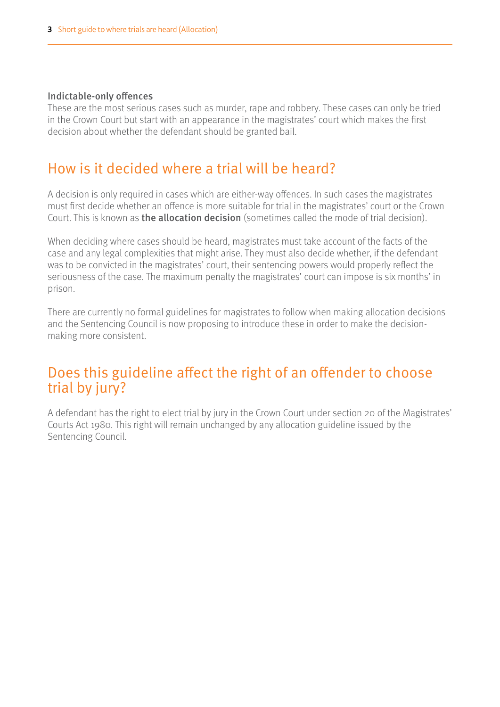#### Indictable-only offences

These are the most serious cases such as murder, rape and robbery. These cases can only be tried in the Crown Court but start with an appearance in the magistrates' court which makes the first decision about whether the defendant should be granted bail.

## How is it decided where a trial will be heard?

A decision is only required in cases which are either-way offences. In such cases the magistrates must first decide whether an offence is more suitable for trial in the magistrates' court or the Crown Court. This is known as the allocation decision (sometimes called the mode of trial decision).

When deciding where cases should be heard, magistrates must take account of the facts of the case and any legal complexities that might arise. They must also decide whether, if the defendant was to be convicted in the magistrates' court, their sentencing powers would properly reflect the seriousness of the case. The maximum penalty the magistrates' court can impose is six months' in prison.

There are currently no formal guidelines for magistrates to follow when making allocation decisions and the Sentencing Council is now proposing to introduce these in order to make the decisionmaking more consistent.

## Does this guideline affect the right of an offender to choose trial by jury?

A defendant has the right to elect trial by jury in the Crown Court under section 20 of the Magistrates' Courts Act 1980. This right will remain unchanged by any allocation guideline issued by the Sentencing Council.